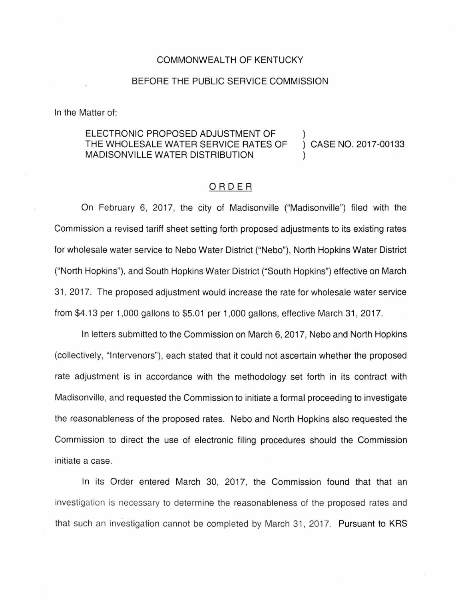#### COMMONWEALTH OF KENTUCKY

### BEFORE THE PUBLIC SERVICE COMMISSION

In the Matter of:

#### ELECTRONIC PROPOSED ADJUSTMENT OF THE WHOLESALE WATER SERVICE RATES OF MADISONVILLE WATER DISTRIBUTION CASE NO. 2017-00133

#### ORDER

On February 6, 2017, the city of Madisonville ("Madisonville") filed with the Commission a revised tariff sheet setting forth proposed adjustments to its existing rates for wholesale water service to Nebo Water District ("Nebo"), North Hopkins Water District ("North Hopkins"), and South Hopkins Water District ("South Hopkins") effective on March 31, 2017. The proposed adjustment would increase the rate for wholesale water service from \$4.13 per 1,000 gallons to \$5.01 per 1,000 gallons, effective March 31 , 2017.

In letters submitted to the Commission on March 6, 2017, Nebo and North Hopkins (collectively, "Intervenors"), each stated that it could not ascertain whether the proposed rate adjustment is in accordance with the methodology set forth in its contract with Madisonville, and requested the Commission to initiate a formal proceeding to investigate the reasonableness of the proposed rates. Nebo and North Hopkins also requested the Commission to direct the use of electronic filing procedures should the Commission initiate a case.

In its Order entered March 30, 2017, the Commission found that that an investigation is necessary to determine the reasonableness of the proposed rates and that such an investigation cannot be completed by March 31, 2017. Pursuant to KRS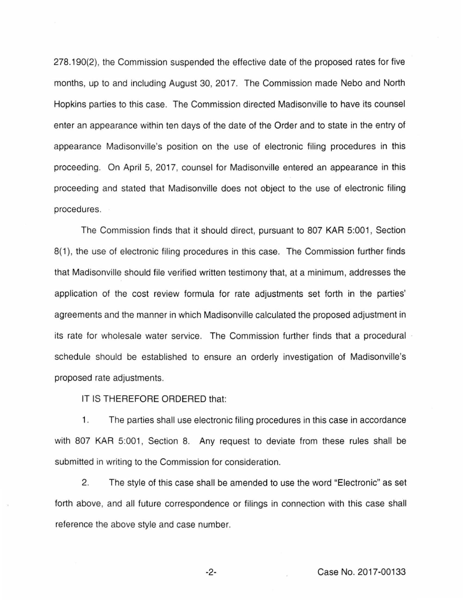278.190(2), the Commission suspended the effective date of the proposed rates for five months, up to and including August 30, 2017. The Commission made Nebo and North Hopkins parties to this case. The Commission directed Madisonville to have its counsel enter an appearance within ten days of the date of the Order and to state in the entry of appearance Madisonville's position on the use of electronic filing procedures in this proceeding. On April 5, 2017, counsel for Madisonville entered an appearance in this proceeding and stated that Madisonville does not object to the use of electronic filing procedures.

The Commission finds that it should direct, pursuant to 807 KAR 5:001, Section 8(1), the use of electronic filing procedures in this case. The Commission further finds that Madisonville should file verified written testimony that, at a minimum, addresses the application of the cost review formula for rate adjustments set forth in the parties' agreements and the manner in which Madisonville calculated the proposed adjustment in its rate for wholesale water service. The Commission further finds that a procedural schedule should be established to ensure an orderly investigation of Madisonville's proposed rate adjustments.

IT IS THEREFORE ORDERED that:

1. The parties shall use electronic filing procedures in this case in accordance with 807 KAR 5:001, Section 8. Any request to deviate from these rules shall be submitted in writing to the Commission for consideration.

2. The style of this case shall be amended to use the word "Electronic" as set forth above, and all future correspondence or filings in connection with this case shall reference the above style and case number.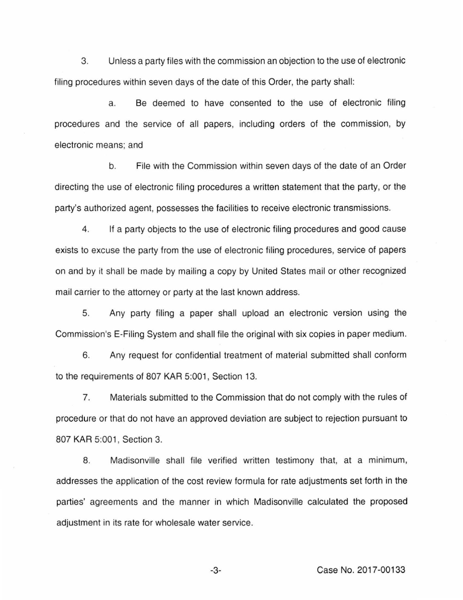3. Unless a party files with the commission an objection to the use of electronic filing procedures within seven days of the date of this Order, the party shall:

a. Be deemed to have consented to the use of electronic filing procedures and the service of all papers, including orders of the commission, by electronic means; and

b. File with the Commission within seven days of the date of an Order directing the use of electronic filing procedures a written statement that the party, or the party's authorized agent, possesses the facilities to receive electronic transmissions.

4. If a party objects to the use of electronic filing procedures and good cause exists to excuse the party from the use of electronic filing procedures, service of papers on and by it shall be made by mailing a copy by United States mail or other recognized mail carrier to the attorney or party at the last known address.

5. Any party filing a paper shall upload an electronic version using the Commission's E-Filing System and shall file the original with six copies in paper medium.

6. Any request for confidential treatment of material submitted shall conform to the requirements of 807 KAR 5:001, Section 13.

7. Materials submitted to the Commission that do not comply with the rules of procedure or that do not have an approved deviation are subject to rejection pursuant to 807 KAR 5:001, Section 3.

8. Madisonville shall file verified written testimony that, at a minimum, addresses the application of the cost review formula for rate adjustments set forth in the parties' agreements and the manner in which Madisonville calculated the proposed adjustment in its rate for wholesale water service.

-3- Case No. 2017-00133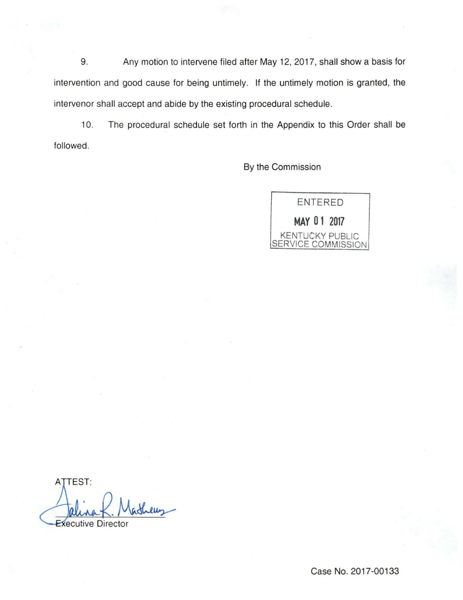9. Any motion to intervene filed after May 12, 2017, shall show a basis for intervention and good cause for being untimely. If the untimely motion is granted, the intervenor shall accept and abide by the existing procedural schedule.

10. The procedural schedule set forth in the Appendix to this Order shall be followed.

By the Commission

ENTERED **MAY 0 1 2017**  KENTUCKY PUBLIC SERVICE COMMISSION

ATTEST: **Executive Director**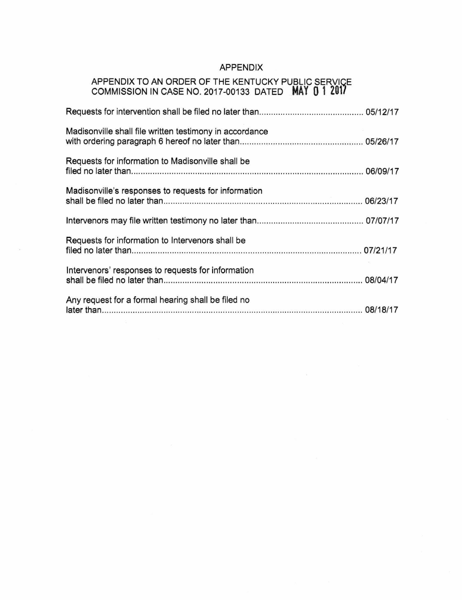# APPENDIX

## APPENDIX TO AN ORDER OF THE KENTUCKY PUBLIC SERVIQE COMMISSION IN CASE NO. 2017-00133 DATED **MAY 0 1 201/**

| Madisonville shall file written testimony in accordance |  |
|---------------------------------------------------------|--|
| Requests for information to Madisonville shall be       |  |
| Madisonville's responses to requests for information    |  |
|                                                         |  |
| Requests for information to Intervenors shall be        |  |
| Intervenors' responses to requests for information      |  |
| Any request for a formal hearing shall be filed no      |  |